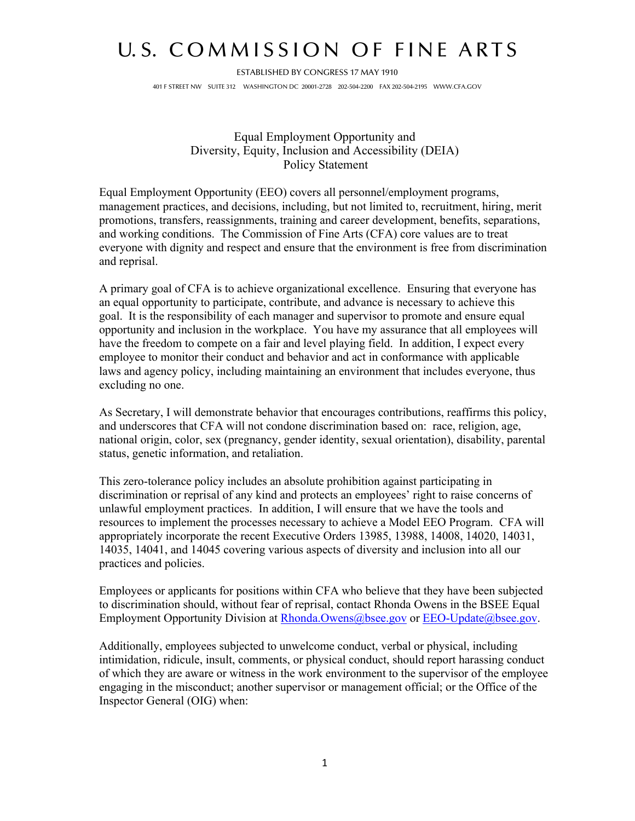## U.S. COMMISSION OF FINE ARTS

ESTABLISHED BY CONGRESS 17 MAY 1910 401 F STREET NW SUITE 312 WASHINGTON DC 20001-2728 202-504-2200 FAX 202-504-2195 WWW.CFA.GOV

> Equal Employment Opportunity and Diversity, Equity, Inclusion and Accessibility (DEIA) Policy Statement

Equal Employment Opportunity (EEO) covers all personnel/employment programs, management practices, and decisions, including, but not limited to, recruitment, hiring, merit promotions, transfers, reassignments, training and career development, benefits, separations, and working conditions. The Commission of Fine Arts (CFA) core values are to treat everyone with dignity and respect and ensure that the environment is free from discrimination and reprisal.

A primary goal of CFA is to achieve organizational excellence. Ensuring that everyone has an equal opportunity to participate, contribute, and advance is necessary to achieve this goal. It is the responsibility of each manager and supervisor to promote and ensure equal opportunity and inclusion in the workplace. You have my assurance that all employees will have the freedom to compete on a fair and level playing field. In addition, I expect every employee to monitor their conduct and behavior and act in conformance with applicable laws and agency policy, including maintaining an environment that includes everyone, thus excluding no one.

As Secretary, I will demonstrate behavior that encourages contributions, reaffirms this policy, and underscores that CFA will not condone discrimination based on: race, religion, age, national origin, color, sex (pregnancy, gender identity, sexual orientation), disability, parental status, genetic information, and retaliation.

This zero-tolerance policy includes an absolute prohibition against participating in discrimination or reprisal of any kind and protects an employees' right to raise concerns of unlawful employment practices. In addition, I will ensure that we have the tools and resources to implement the processes necessary to achieve a Model EEO Program. CFA will appropriately incorporate the recent Executive Orders 13985, 13988, 14008, 14020, 14031, 14035, 14041, and 14045 covering various aspects of diversity and inclusion into all our practices and policies.

Employees or applicants for positions within CFA who believe that they have been subjected to discrimination should, without fear of reprisal, contact Rhonda Owens in the BSEE Equal Employment Opportunity Division at [Rhonda.Owens@bsee.gov](mailto:Rhonda.Owens@bsee.gov) or EEO-Update@bsee.gov.

Additionally, employees subjected to unwelcome conduct, verbal or physical, including intimidation, ridicule, insult, comments, or physical conduct, should report harassing conduct of which they are aware or witness in the work environment to the supervisor of the employee engaging in the misconduct; another supervisor or management official; or the Office of the Inspector General (OIG) when: